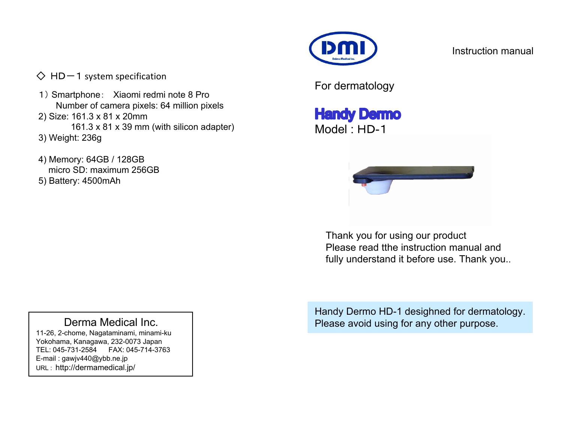

- 1) Smartphone: Xiaomi redmi note 8 Pro Number of camera pixels: 64 million pixels
- 2) Size: 161.3 x 81 x 20mm 161.3 x 81 x 39 mm (with silicon adapter)
- 3) Weight: 236g
- 4) Memory: 64GB / 128GB micro SD: maximum 256GB 5) Battery: 4500mAh



Instruction manual

For dermatology

**Handy Dermo** Model : HD-1



Thank you for using our product Please read tthe instruction manual and fully understand it before use. Thank you..

Handy Dermo HD-1 desighned for dermatology. Please avoid using for any other purpose.

### Derma Medical Inc.

11-26, 2-chome, Nagataminami, minami-ku Yokohama, Kanagawa, 232-0073 Japan TEL: 045-731-2584 FAX: 045-714-3763 E-mail : gawjv440@ybb.ne.jp URL : http://dermamedical.jp/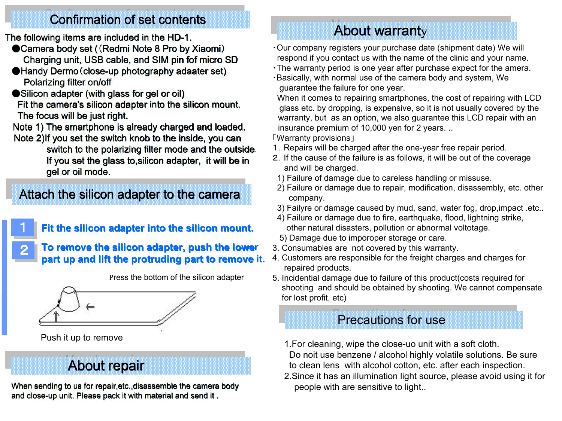## Confirmation of set contents

The following items are included in the HD-1.

- ●Camera body set ((Redmi Note 8 Pro by Xiaomi) Charging unit, USB cable, and SIM pin fof micro SD
- ●Handy Dermo(close-up photography adaater set) Polarizing filter on/off
- ●Silicon adapter (with glass for gel or oil)
- Fit the camera's silicon adapter into the silicon mount. The focus will be just right.

Note 1) The smartphone is already charged and loaded. Note 2)If you set the switch knob to the inside, you can

switch to the polarizing filter mode and the outside. If you set the glass to,silicon adapter, it will be in gel or oil mode.

## Attach the silicon adapter to the camera

1 **Fit the silicon adapter into the silicon mount.**

2 **To remove the silicon adapter, push the lower part up and lift the protruding part to remove it.**

Press the bottom of the silicon adapter



Push it up to remove

# About repair

When sending to us for repair,etc.,disassemble the camera body and close-up unit. Please pack it with material and send it .

# About warranty

・Our company registers your purchase date (shipment date) We will respond if you contact us with the name of the clinic and your name.

The warranty period is one year after purchase expect for the amera. ・Basically, with normal use of the camera body and system, We

guarantee the failure for one year.

When it comes to repairing smartphones, the cost of repairing with LCD glass etc. by dropping, is expensive, so it is not usually covered by the warranty, but as an option, we also guarantee this LCD repair with an insurance premium of 10,000 yen for 2 years...

「Warranty provisions」

- 1. Repairs will be charged after the one-year free repair period.
- 2.If the cause of the failure is as follows, it will be out of the coverage and will be charged.
- 
- 1) Failure of damage due to careless handling or missuse.2) Failure or damage due to repair, modification, disassembly, etc. other company.
- 3) Failyre or damage caused by mud, sand, water fog, drop,impact .etc..
- 4) Failure or damage due to fire, earthquake, flood, lightning strike, other natural disasters, pollution or abnormal voltotage.
- 5) Damage due to imporoper storage or care.
- 3. Consumables are not covered by this warranty.
- 4. Customers are responsible for the freight charges and charges for repaired products.
- 5. Incidential damage due to failure of this product (costs required for shooting and should be obtained by shooting. We cannot compensate for lost profit, etc)

## Precautions for use

- 1.For cleaning, wipe the close-uo unit with a soft cloth. Do noit use benzene / alcohol highly volatile solutions. Be sure
- to clean lens with alcohol cotton, etc. after each inspection.
- 2.Since it has an illumination light source, please avoid using it for people with are sensitive to light..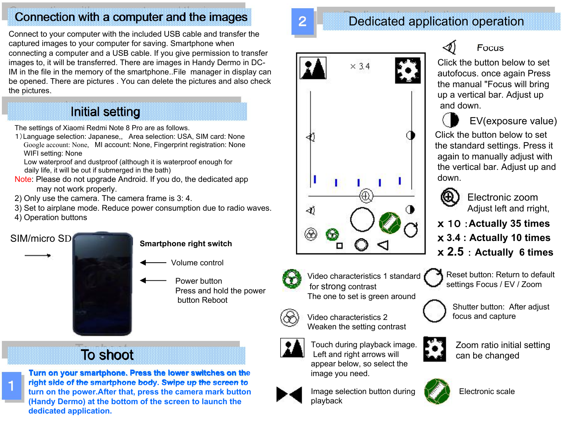## Connection with a computer and the images

Connect to your computer with the included USB cable and transfer the captured images to your computer for saving. Smartphone when connecting a computer and a USB cable.If you give permission to transfer images to, it will be transferred. There are images in Handy Dermo in DC-IM in the file in the memory of the smartphone..File manager in display can be opened. There are pictures . You can delete the pictures and also check the pictures.

## Initial setting

The settings of Xiaomi Redmi Note 8 Pro are as follows.

1)Language selection: Japanese,, Area selection: USA, SIM card: None Google account: None, MI account: None, Fingerprint registration: None WIFI setting: None

Low waterproof and dustproof (although it is waterproof enough for daily life, it will be out if submerged in the bath)

- Note: Please do not upgrade Android. If you do, the dedicated app may not work properly.
- 2) Only use the camera. The camera frame is 3: 4.
- 3) Set to airplane mode. Reduce power consumption due to radio waves.  $\begin{vmatrix} -4i \end{vmatrix}$
- 4) Operation buttons



### **Smartphone right switch**

- Volume control
	- Power button Press and hold the power button Reboot

# To shoot

**Turn on your smartphone. Press the lower switches on the right** side of the smartphone body. Swipe up the screen to<br>
turn on the power After that, press the camera mark button **turn on the power.After that, press the camera mark button (Handy Dermo) at the bottom of the screen to launch the dedicated application.**

## 2 Dedicated application operation





Click the button below to set autofocus. once again Press the manual "Focus will bring up a vertical bar. Adjust up and down.

EV(exposure value)

Click the button below to set the standard settings. Press it again to manually adjust with the vertical bar. Adjust up and down.



Electronic zoom Adjust left and rright,

x 10 :**Actually 35 times** x **3.4 : Actually 10 times** x **2.5** : **Actually 6 times**



Reset button: Return to default settings Focus / EV / Zoom



Shutter button: After adjust focus and capture



Touch during playback image. Left and right arrows will appear below, so select the image you need.

Video characteristics 1 standard

for strong contrast

Video characteristics 2 Weaken the setting contrast



Image selection button during **KAN** Electronic scale playback







Zoom ratio initial setting can be changed